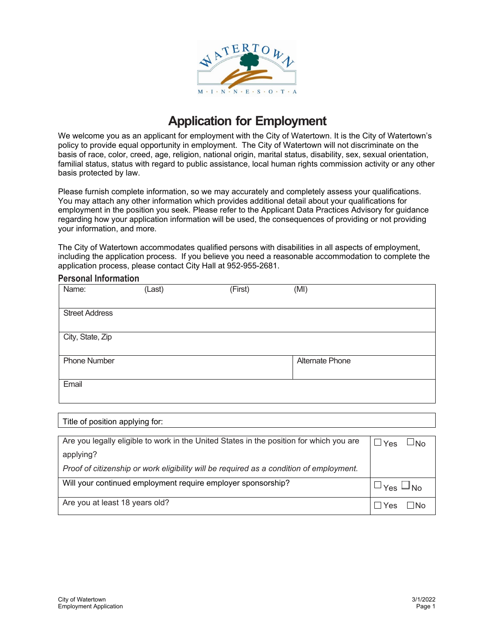

# **Application for Employment**

We welcome you as an applicant for employment with the City of Watertown. It is the City of Watertown's policy to provide equal opportunity in employment. The City of Watertown will not discriminate on the basis of race, color, creed, age, religion, national origin, marital status, disability, sex, sexual orientation, familial status, status with regard to public assistance, local human rights commission activity or any other basis protected by law.

Please furnish complete information, so we may accurately and completely assess your qualifications. You may attach any other information which provides additional detail about your qualifications for employment in the position you seek. Please refer to the Applicant Data Practices Advisory for guidance regarding how your application information will be used, the consequences of providing or not providing your information, and more.

The City of Watertown accommodates qualified persons with disabilities in all aspects of employment, including the application process. If you believe you need a reasonable accommodation to complete the application process, please contact City Hall at 952-955-2681.

| Name:                 | (Last) | (First) | (MI)            |
|-----------------------|--------|---------|-----------------|
| <b>Street Address</b> |        |         |                 |
| City, State, Zip      |        |         |                 |
| <b>Phone Number</b>   |        |         | Alternate Phone |
| Email                 |        |         |                 |

| Title of position applying for:                                                         |                                   |
|-----------------------------------------------------------------------------------------|-----------------------------------|
|                                                                                         |                                   |
| Are you legally eligible to work in the United States in the position for which you are | $\Box$ Yes<br>—No                 |
| applying?                                                                               |                                   |
| Proof of citizenship or work eligibility will be required as a condition of employment. |                                   |
| Will your continued employment require employer sponsorship?                            | $\mathsf{Yes} \sqcup \mathsf{No}$ |
| Are you at least 18 years old?                                                          | l INo<br>Yes.                     |

**Personal Information**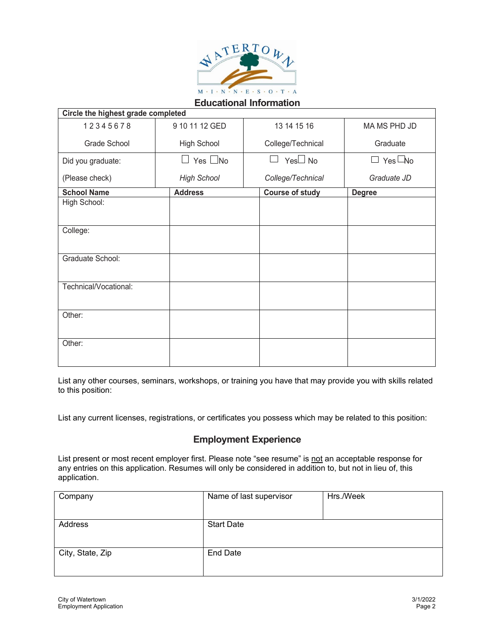

| Circle the highest grade completed |                    |                        |                    |
|------------------------------------|--------------------|------------------------|--------------------|
| 12345678                           | 9 10 11 12 GED     | 13 14 15 16            | MA MS PHD JD       |
| Grade School                       | High School        | College/Technical      | Graduate           |
| Did you graduate:                  | Yes $\square$ No   | $Yes \Box No$          | $Yes \Box No$<br>⊔ |
| (Please check)                     | <b>High School</b> | College/Technical      | Graduate JD        |
| <b>School Name</b>                 | <b>Address</b>     | <b>Course of study</b> | <b>Degree</b>      |
| High School:                       |                    |                        |                    |
| College:                           |                    |                        |                    |
| Graduate School:                   |                    |                        |                    |
| Technical/Vocational:              |                    |                        |                    |
| Other:                             |                    |                        |                    |
| Other:                             |                    |                        |                    |

List any other courses, seminars, workshops, or training you have that may provide you with skills related to this position:

List any current licenses, registrations, or certificates you possess which may be related to this position:

## **Employment Experience**

List present or most recent employer first. Please note "see resume" is not an acceptable response for any entries on this application. Resumes will only be considered in addition to, but not in lieu of, this application.

| Company          | Name of last supervisor | Hrs./Week |
|------------------|-------------------------|-----------|
|                  |                         |           |
| Address          | <b>Start Date</b>       |           |
|                  |                         |           |
| City, State, Zip | <b>End Date</b>         |           |
|                  |                         |           |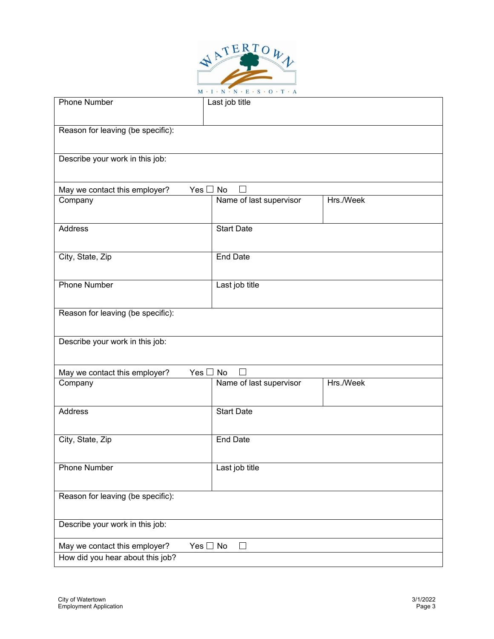

| <b>Phone Number</b>               | Last job title                |           |
|-----------------------------------|-------------------------------|-----------|
| Reason for leaving (be specific): |                               |           |
| Describe your work in this job:   |                               |           |
| May we contact this employer?     | Yes $\Box$ No<br>$\Box$       |           |
| Company                           | Name of last supervisor       | Hrs./Week |
| Address                           | <b>Start Date</b>             |           |
| City, State, Zip                  | <b>End Date</b>               |           |
| <b>Phone Number</b>               | Last job title                |           |
| Reason for leaving (be specific): |                               |           |
| Describe your work in this job:   |                               |           |
| May we contact this employer?     | Yes $\square$<br>No           |           |
| Company                           | Name of last supervisor       | Hrs./Week |
| Address                           | <b>Start Date</b>             |           |
| City, State, Zip                  | <b>End Date</b>               |           |
| <b>Phone Number</b>               | Last job title                |           |
| Reason for leaving (be specific): |                               |           |
| Describe your work in this job:   |                               |           |
| May we contact this employer?     | Yes $\Box$ No<br>$\mathsf{L}$ |           |
| How did you hear about this job?  |                               |           |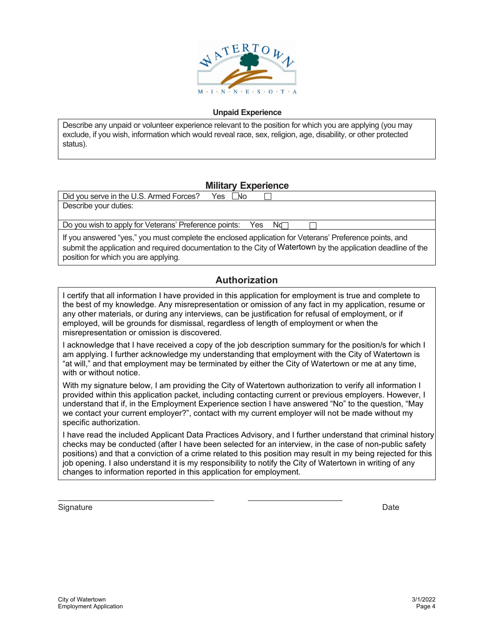

#### **Unpaid Experience**

Describe any unpaid or volunteer experience relevant to the position for which you are applying (you may exclude, if you wish, information which would reveal race, sex, religion, age, disability, or other protected status).

## **Military Experience**

| Did you serve in the U.S. Armed Forces?<br>Yes I No                                                                                                                                                                     |
|-------------------------------------------------------------------------------------------------------------------------------------------------------------------------------------------------------------------------|
| Describe your duties:                                                                                                                                                                                                   |
|                                                                                                                                                                                                                         |
| Do you wish to apply for Veterans' Preference points: Yes Nq                                                                                                                                                            |
| If you answered "yes," you must complete the enclosed application for Veterans' Preference points, and<br>submit the application and required documentation to the City of Watertown by the application deadline of the |

position for which you are applying.

## **Authorization**

I certify that all information I have provided in this application for employment is true and complete to the best of my knowledge. Any misrepresentation or omission of any fact in my application, resume or any other materials, or during any interviews, can be justification for refusal of employment, or if employed, will be grounds for dismissal, regardless of length of employment or when the misrepresentation or omission is discovered.

I acknowledge that I have received a copy of the job description summary for the position/s for which I am applying. I further acknowledge my understanding that employment with the City of Watertown is "at will," and that employment may be terminated by either the City of Watertown or me at any time, with or without notice.

With my signature below, I am providing the City of Watertown authorization to verify all information I provided within this application packet, including contacting current or previous employers. However, I understand that if, in the Employment Experience section I have answered "No" to the question, "May we contact your current employer?", contact with my current employer will not be made without my specific authorization.

I have read the included Applicant Data Practices Advisory, and I further understand that criminal history checks may be conducted (after I have been selected for an interview, in the case of non-public safety positions) and that a conviction of a crime related to this position may result in my being rejected for this job opening. I also understand it is my responsibility to notify the City of Watertown in writing of any changes to information reported in this application for employment.

 $\_$ 

Signature Date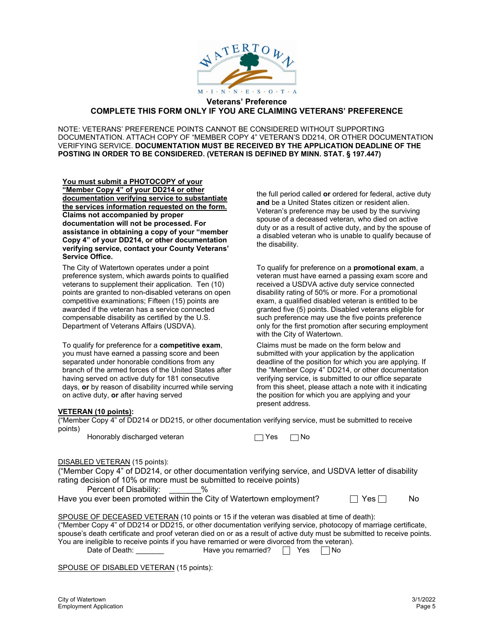

#### **Veterans' Preference COMPLETE THIS FORM ONLY IF YOU ARE CLAIMING VETERANS' PREFERENCE**

NOTE: VETERANS' PREFERENCE POINTS CANNOT BE CONSIDERED WITHOUT SUPPORTING DOCUMENTATION. ATTACH COPY OF "MEMBER COPY 4" VETERAN'S DD214, OR OTHER DOCUMENTATION VERIFYING SERVICE. **DOCUMENTATION MUST BE RECEIVED BY THE APPLICATION DEADLINE OF THE POSTING IN ORDER TO BE CONSIDERED. (VETERAN IS DEFINED BY MINN. STAT. § 197.447)**

**You must submit a PHOTOCOPY of your "Member Copy 4" of your DD214 or other documentation verifying service to substantiate the services information requested on the form. Claims not accompanied by proper documentation will not be processed. For assistance in obtaining a copy of your "member Copy 4" of your DD214, or other documentation verifying service, contact your County Veterans' Service Office.**

The City of Watertown operates under a point preference system, which awards points to qualified veterans to supplement their application. Ten (10) points are granted to non-disabled veterans on open competitive examinations; Fifteen (15) points are awarded if the veteran has a service connected compensable disability as certified by the U.S. Department of Veterans Affairs (USDVA).

To qualify for preference for a **competitive exam**, you must have earned a passing score and been separated under honorable conditions from any branch of the armed forces of the United States after having served on active duty for 181 consecutive days, **or** by reason of disability incurred while serving on active duty, **or** after having served

the full period called **or** ordered for federal, active duty **and** be a United States citizen or resident alien. Veteran's preference may be used by the surviving spouse of a deceased veteran, who died on active duty or as a result of active duty, and by the spouse of a disabled veteran who is unable to qualify because of the disability.

To qualify for preference on a **promotional exam**, a veteran must have earned a passing exam score and received a USDVA active duty service connected disability rating of 50% or more. For a promotional exam, a qualified disabled veteran is entitled to be granted five (5) points. Disabled veterans eligible for such preference may use the five points preference only for the first promotion after securing employment with the City of Watertown.

Claims must be made on the form below and submitted with your application by the application deadline of the position for which you are applying. If the "Member Copy 4" DD214, or other documentation verifying service, is submitted to our office separate from this sheet, please attach a note with it indicating the position for which you are applying and your present address.

#### **VETERAN (10 points):**

("Member Copy 4" of DD214 or DD215, or other documentation verifying service, must be submitted to receive points)

| Honorably discharged veteran | $\Box$ Yes $\Box$ No |  |
|------------------------------|----------------------|--|
|------------------------------|----------------------|--|

#### DISABLED VETERAN (15 points):

("Member Copy 4" of DD214, or other documentation verifying service, and USDVA letter of disability rating decision of 10% or more must be submitted to receive points)

Percent of Disability:  $\%$ 

| Have you ever been promoted within the City of Watertown employment? | Π Yes Γ | No |
|----------------------------------------------------------------------|---------|----|
|----------------------------------------------------------------------|---------|----|

SPOUSE OF DECEASED VETERAN (10 points or 15 if the veteran was disabled at time of death):

("Member Copy 4" of DD214 or DD215, or other documentation verifying service, photocopy of marriage certificate, spouse's death certificate and proof veteran died on or as a result of active duty must be submitted to receive points. You are ineligible to receive points if you have remarried or were divorced from the veteran).<br>Date of Death: Have you remarried?  $\Box$  Yes  $\Box$  No

Have you remarried?  $\Box$  Yes  $\Box$  No

SPOUSE OF DISABLED VETERAN (15 points):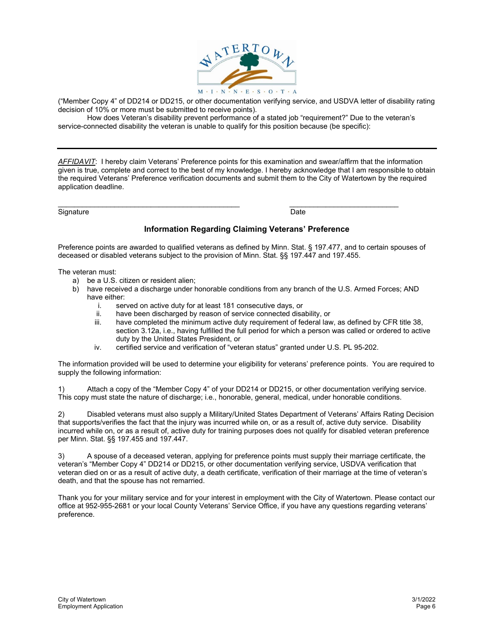

("Member Copy 4" of DD214 or DD215, or other documentation verifying service, and USDVA letter of disability rating decision of 10% or more must be submitted to receive points).

How does Veteran's disability prevent performance of a stated job "requirement?" Due to the veteran's service-connected disability the veteran is unable to qualify for this position because (be specific):

*AFFIDAVIT*: I hereby claim Veterans' Preference points for this examination and swear/affirm that the information given is true, complete and correct to the best of my knowledge. I hereby acknowledge that I am responsible to obtain the required Veterans' Preference verification documents and submit them to the City of Watertown by the required application deadline.

Signature Date **Date** 

 $\mathcal{L}_\text{max}$  , and the set of the set of the set of the set of the set of the set of the set of the set of the set of

### **Information Regarding Claiming Veterans' Preference**

Preference points are awarded to qualified veterans as defined by Minn. Stat. § 197.477, and to certain spouses of deceased or disabled veterans subject to the provision of Minn. Stat. §§ 197.447 and 197.455.

The veteran must:

- a) be a U.S. citizen or resident alien;
- b) have received a discharge under honorable conditions from any branch of the U.S. Armed Forces; AND have either:<br>i. ser
	- i. served on active duty for at least 181 consecutive days, or<br>ii. have been discharged by reason of service connected disa
	- have been discharged by reason of service connected disability, or
	- iii. have completed the minimum active duty requirement of federal law, as defined by CFR title 38, section 3.12a, i.e., having fulfilled the full period for which a person was called or ordered to active duty by the United States President, or
	- iv. certified service and verification of "veteran status" granted under U.S. PL 95-202.

The information provided will be used to determine your eligibility for veterans' preference points. You are required to supply the following information:

1) Attach a copy of the "Member Copy 4" of your DD214 or DD215, or other documentation verifying service. This copy must state the nature of discharge; i.e., honorable, general, medical, under honorable conditions.

2) Disabled veterans must also supply a Military/United States Department of Veterans' Affairs Rating Decision that supports/verifies the fact that the injury was incurred while on, or as a result of, active duty service. Disability incurred while on, or as a result of, active duty for training purposes does not qualify for disabled veteran preference per Minn. Stat. §§ 197.455 and 197.447.

3) A spouse of a deceased veteran, applying for preference points must supply their marriage certificate, the veteran's "Member Copy 4" DD214 or DD215, or other documentation verifying service, USDVA verification that veteran died on or as a result of active duty, a death certificate, verification of their marriage at the time of veteran's death, and that the spouse has not remarried.

Thank you for your military service and for your interest in employment with the City of Watertown. Please contact our office at 952-955-2681 or your local County Veterans' Service Office, if you have any questions regarding veterans' preference.